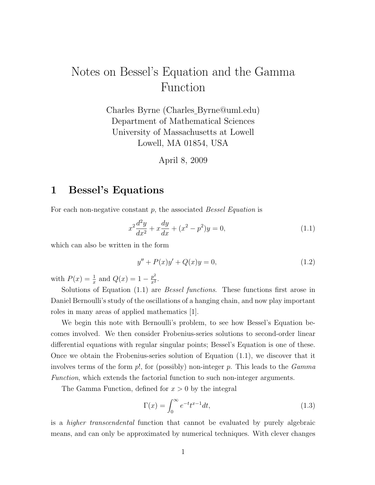# Notes on Bessel's Equation and the Gamma Function

Charles Byrne (Charles Byrne@uml.edu) Department of Mathematical Sciences University of Massachusetts at Lowell Lowell, MA 01854, USA

April 8, 2009

### 1 Bessel's Equations

For each non-negative constant  $p$ , the associated *Bessel Equation* is

 $\mathbf{r}$ 

$$
x^{2}\frac{d^{2}y}{dx^{2}} + x\frac{dy}{dx} + (x^{2} - p^{2})y = 0,
$$
\n(1.1)

which can also be written in the form

$$
y'' + P(x)y' + Q(x)y = 0,
$$
\n(1.2)

with  $P(x) = \frac{1}{x}$  and  $Q(x) = 1 - \frac{p^2}{x^2}$  $\frac{p^2}{x^2}$ .

Solutions of Equation (1.1) are Bessel functions. These functions first arose in Daniel Bernoulli's study of the oscillations of a hanging chain, and now play important roles in many areas of applied mathematics [1].

We begin this note with Bernoulli's problem, to see how Bessel's Equation becomes involved. We then consider Frobenius-series solutions to second-order linear differential equations with regular singular points; Bessel's Equation is one of these. Once we obtain the Frobenius-series solution of Equation (1.1), we discover that it involves terms of the form  $p!$ , for (possibly) non-integer p. This leads to the  $Gamma$ Function, which extends the factorial function to such non-integer arguments.

The Gamma Function, defined for  $x > 0$  by the integral

$$
\Gamma(x) = \int_0^\infty e^{-t} t^{x-1} dt,\tag{1.3}
$$

is a higher transcendental function that cannot be evaluated by purely algebraic means, and can only be approximated by numerical techniques. With clever changes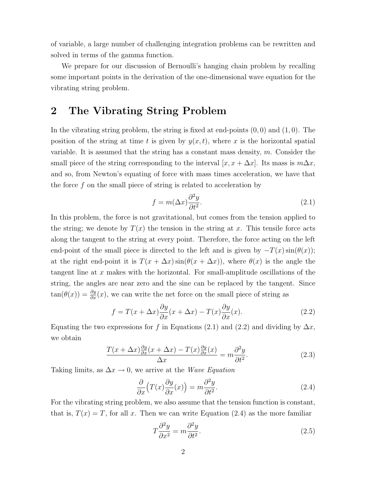of variable, a large number of challenging integration problems can be rewritten and solved in terms of the gamma function.

We prepare for our discussion of Bernoulli's hanging chain problem by recalling some important points in the derivation of the one-dimensional wave equation for the vibrating string problem.

### 2 The Vibrating String Problem

In the vibrating string problem, the string is fixed at end-points  $(0,0)$  and  $(1,0)$ . The position of the string at time t is given by  $y(x, t)$ , where x is the horizontal spatial variable. It is assumed that the string has a constant mass density,  $m$ . Consider the small piece of the string corresponding to the interval  $[x, x + \Delta x]$ . Its mass is  $m\Delta x$ , and so, from Newton's equating of force with mass times acceleration, we have that the force  $f$  on the small piece of string is related to acceleration by

$$
f = m(\Delta x) \frac{\partial^2 y}{\partial t^2}.
$$
\n(2.1)

In this problem, the force is not gravitational, but comes from the tension applied to the string; we denote by  $T(x)$  the tension in the string at x. This tensile force acts along the tangent to the string at every point. Therefore, the force acting on the left end-point of the small piece is directed to the left and is given by  $-T(x) \sin(\theta(x));$ at the right end-point it is  $T(x + \Delta x) \sin(\theta(x + \Delta x))$ , where  $\theta(x)$  is the angle the tangent line at  $x$  makes with the horizontal. For small-amplitude oscillations of the string, the angles are near zero and the sine can be replaced by the tangent. Since  $tan(\theta(x)) = \frac{\partial y}{\partial x}(x)$ , we can write the net force on the small piece of string as

$$
f = T(x + \Delta x) \frac{\partial y}{\partial x}(x + \Delta x) - T(x) \frac{\partial y}{\partial x}(x).
$$
 (2.2)

Equating the two expressions for f in Equations (2.1) and (2.2) and dividing by  $\Delta x$ , we obtain

$$
\frac{T(x + \Delta x)\frac{\partial y}{\partial x}(x + \Delta x) - T(x)\frac{\partial y}{\partial x}(x)}{\Delta x} = m\frac{\partial^2 y}{\partial t^2}.
$$
\n(2.3)

Taking limits, as  $\Delta x \rightarrow 0$ , we arrive at the *Wave Equation* 

$$
\frac{\partial}{\partial x}\left(T(x)\frac{\partial y}{\partial x}(x)\right) = m\frac{\partial^2 y}{\partial t^2}.
$$
\n(2.4)

For the vibrating string problem, we also assume that the tension function is constant, that is,  $T(x) = T$ , for all x. Then we can write Equation (2.4) as the more familiar

$$
T\frac{\partial^2 y}{\partial x^2} = m\frac{\partial^2 y}{\partial t^2}.\tag{2.5}
$$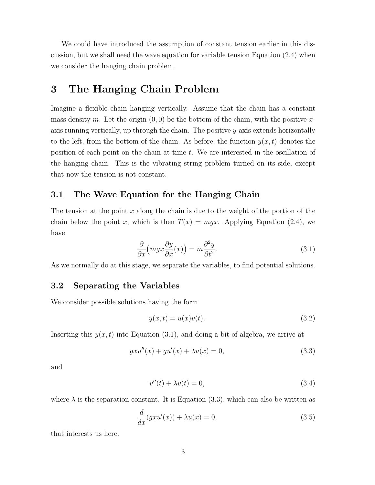We could have introduced the assumption of constant tension earlier in this discussion, but we shall need the wave equation for variable tension Equation (2.4) when we consider the hanging chain problem.

# 3 The Hanging Chain Problem

Imagine a flexible chain hanging vertically. Assume that the chain has a constant mass density m. Let the origin  $(0, 0)$  be the bottom of the chain, with the positive xaxis running vertically, up through the chain. The positive  $y$ -axis extends horizontally to the left, from the bottom of the chain. As before, the function  $y(x, t)$  denotes the position of each point on the chain at time t. We are interested in the oscillation of the hanging chain. This is the vibrating string problem turned on its side, except that now the tension is not constant.

### 3.1 The Wave Equation for the Hanging Chain

The tension at the point  $x$  along the chain is due to the weight of the portion of the chain below the point x, which is then  $T(x) = mgx$ . Applying Equation (2.4), we have

$$
\frac{\partial}{\partial x}\left(mgx\frac{\partial y}{\partial x}(x)\right) = m\frac{\partial^2 y}{\partial t^2}.\tag{3.1}
$$

As we normally do at this stage, we separate the variables, to find potential solutions.

### 3.2 Separating the Variables

We consider possible solutions having the form

$$
y(x,t) = u(x)v(t).
$$
\n
$$
(3.2)
$$

Inserting this  $y(x, t)$  into Equation (3.1), and doing a bit of algebra, we arrive at

$$
gxu''(x) + gu'(x) + \lambda u(x) = 0,
$$
\n(3.3)

and

$$
v''(t) + \lambda v(t) = 0,\t\t(3.4)
$$

where  $\lambda$  is the separation constant. It is Equation (3.3), which can also be written as

$$
\frac{d}{dx}(gxu'(x)) + \lambda u(x) = 0,
$$
\n(3.5)

that interests us here.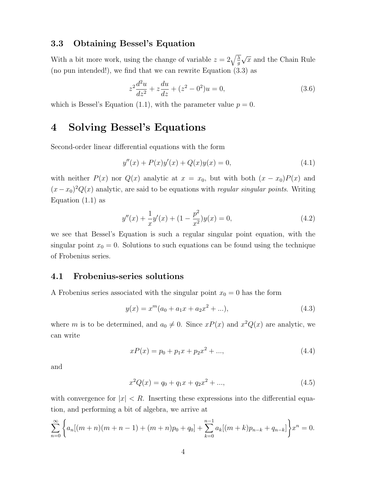#### 3.3 Obtaining Bessel's Equation

With a bit more work, using the change of variable  $z = 2\sqrt{\frac{\lambda}{g}}$ √  $\bar{x}$  and the Chain Rule (no pun intended!), we find that we can rewrite Equation (3.3) as

$$
z^{2}\frac{d^{2}u}{dz^{2}} + z\frac{du}{dz} + (z^{2} - 0^{2})u = 0,
$$
\n(3.6)

which is Bessel's Equation (1.1), with the parameter value  $p = 0$ .

# 4 Solving Bessel's Equations

Second-order linear differential equations with the form

$$
y''(x) + P(x)y'(x) + Q(x)y(x) = 0,
$$
\n(4.1)

with neither  $P(x)$  nor  $Q(x)$  analytic at  $x = x_0$ , but with both  $(x - x_0)P(x)$  and  $(x-x_0)^2 Q(x)$  analytic, are said to be equations with *regular singular points*. Writing Equation  $(1.1)$  as

$$
y''(x) + \frac{1}{x}y'(x) + (1 - \frac{p^2}{x^2})y(x) = 0,
$$
\n(4.2)

we see that Bessel's Equation is such a regular singular point equation, with the singular point  $x_0 = 0$ . Solutions to such equations can be found using the technique of Frobenius series.

#### 4.1 Frobenius-series solutions

A Frobenius series associated with the singular point  $x_0 = 0$  has the form

$$
y(x) = x^{m}(a_0 + a_1x + a_2x^2 + ...),
$$
\n(4.3)

where m is to be determined, and  $a_0 \neq 0$ . Since  $xP(x)$  and  $x^2Q(x)$  are analytic, we can write

$$
xP(x) = p_0 + p_1x + p_2x^2 + \dots,
$$
\n(4.4)

and

$$
x^{2}Q(x) = q_{0} + q_{1}x + q_{2}x^{2} + ..., \qquad (4.5)
$$

with convergence for  $|x| < R$ . Inserting these expressions into the differential equation, and performing a bit of algebra, we arrive at

$$
\sum_{n=0}^{\infty} \left\{ a_n[(m+n)(m+n-1)+(m+n)p_0+q_0] + \sum_{k=0}^{n-1} a_k[(m+k)p_{n-k}+q_{n-k}] \right\} x^n = 0.
$$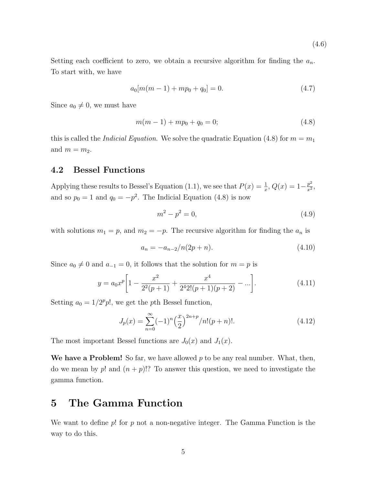Setting each coefficient to zero, we obtain a recursive algorithm for finding the  $a_n$ . To start with, we have

$$
a_0[m(m-1) + mp_0 + q_0] = 0.
$$
\n(4.7)

(4.6)

Since  $a_0 \neq 0$ , we must have

$$
m(m-1) + mp_0 + q_0 = 0;
$$
\n(4.8)

this is called the *Indicial Equation*. We solve the quadratic Equation (4.8) for  $m = m_1$ and  $m = m_2$ .

#### 4.2 Bessel Functions

Applying these results to Bessel's Equation (1.1), we see that  $P(x) = \frac{1}{x}$ ,  $Q(x) = 1 - \frac{p^2}{x^2}$  $rac{p^2}{x^2}$ and so  $p_0 = 1$  and  $q_0 = -p^2$ . The Indicial Equation (4.8) is now

$$
m^2 - p^2 = 0,\t\t(4.9)
$$

with solutions  $m_1 = p$ , and  $m_2 = -p$ . The recursive algorithm for finding the  $a_n$  is

$$
a_n = -a_{n-2}/n(2p+n). \t\t(4.10)
$$

Since  $a_0 \neq 0$  and  $a_{-1} = 0$ , it follows that the solution for  $m = p$  is

$$
y = a_0 x^p \left[ 1 - \frac{x^2}{2^2 (p+1)} + \frac{x^4}{2^4 2! (p+1)(p+2)} - \ldots \right]. \tag{4.11}
$$

Setting  $a_0 = 1/2^p p!$ , we get the pth Bessel function,

$$
J_p(x) = \sum_{n=0}^{\infty} (-1)^n \left(\frac{x}{2}\right)^{2n+p} / n! (p+n)!.
$$
 (4.12)

The most important Bessel functions are  $J_0(x)$  and  $J_1(x)$ .

We have a Problem! So far, we have allowed  $p$  to be any real number. What, then, do we mean by p! and  $(n+p)!$ ? To answer this question, we need to investigate the gamma function.

# 5 The Gamma Function

We want to define  $p!$  for  $p$  not a non-negative integer. The Gamma Function is the way to do this.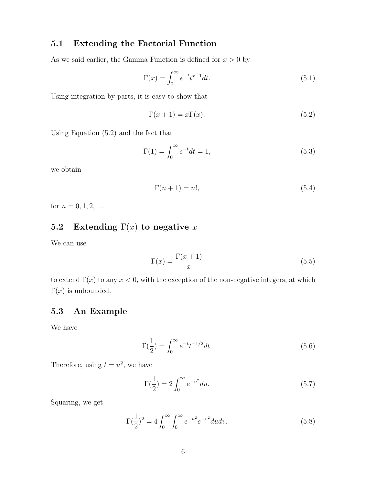### 5.1 Extending the Factorial Function

As we said earlier, the Gamma Function is defined for  $x > 0$  by

$$
\Gamma(x) = \int_0^\infty e^{-t} t^{x-1} dt.
$$
\n(5.1)

Using integration by parts, it is easy to show that

$$
\Gamma(x+1) = x\Gamma(x). \tag{5.2}
$$

Using Equation (5.2) and the fact that

$$
\Gamma(1) = \int_0^\infty e^{-t} dt = 1,\tag{5.3}
$$

we obtain

$$
\Gamma(n+1) = n!,\tag{5.4}
$$

for  $n = 0, 1, 2, \dots$ 

### 5.2 Extending  $\Gamma(x)$  to negative x

We can use

$$
\Gamma(x) = \frac{\Gamma(x+1)}{x} \tag{5.5}
$$

to extend  $\Gamma(x)$  to any  $x < 0$ , with the exception of the non-negative integers, at which Γ(x) is unbounded.

### 5.3 An Example

We have

$$
\Gamma(\frac{1}{2}) = \int_0^\infty e^{-t} t^{-1/2} dt.
$$
\n(5.6)

Therefore, using  $t = u^2$ , we have

$$
\Gamma(\frac{1}{2}) = 2 \int_0^\infty e^{-u^2} du.
$$
\n(5.7)

Squaring, we get

$$
\Gamma(\frac{1}{2})^2 = 4 \int_0^\infty \int_0^\infty e^{-u^2} e^{-v^2} du dv.
$$
 (5.8)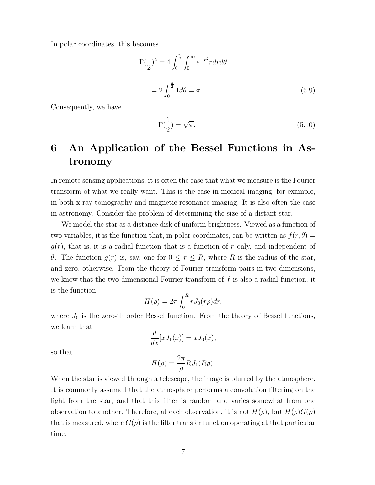In polar coordinates, this becomes

$$
\Gamma(\frac{1}{2})^2 = 4 \int_0^{\frac{\pi}{2}} \int_0^{\infty} e^{-r^2} r dr d\theta
$$
  
=  $2 \int_0^{\frac{\pi}{2}} 1 d\theta = \pi.$  (5.9)

Consequently, we have

$$
\Gamma(\frac{1}{2}) = \sqrt{\pi}.\tag{5.10}
$$

# 6 An Application of the Bessel Functions in Astronomy

In remote sensing applications, it is often the case that what we measure is the Fourier transform of what we really want. This is the case in medical imaging, for example, in both x-ray tomography and magnetic-resonance imaging. It is also often the case in astronomy. Consider the problem of determining the size of a distant star.

We model the star as a distance disk of uniform brightness. Viewed as a function of two variables, it is the function that, in polar coordinates, can be written as  $f(r, \theta) =$  $g(r)$ , that is, it is a radial function that is a function of r only, and independent of θ. The function  $g(r)$  is, say, one for  $0 \le r \le R$ , where R is the radius of the star, and zero, otherwise. From the theory of Fourier transform pairs in two-dimensions, we know that the two-dimensional Fourier transform of  $f$  is also a radial function; it is the function

$$
H(\rho) = 2\pi \int_0^R r J_0(r\rho) dr,
$$

where  $J_0$  is the zero-th order Bessel function. From the theory of Bessel functions, we learn that

$$
\frac{d}{dx}[xJ_1(x)] = xJ_0(x),
$$

so that

$$
H(\rho) = \frac{2\pi}{\rho} R J_1(R\rho).
$$

When the star is viewed through a telescope, the image is blurred by the atmosphere. It is commonly assumed that the atmosphere performs a convolution filtering on the light from the star, and that this filter is random and varies somewhat from one observation to another. Therefore, at each observation, it is not  $H(\rho)$ , but  $H(\rho)G(\rho)$ that is measured, where  $G(\rho)$  is the filter transfer function operating at that particular time.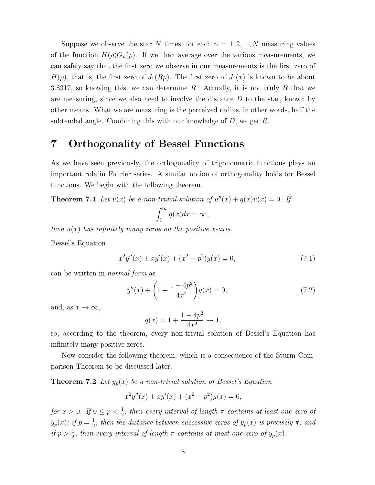Suppose we observe the star N times, for each  $n = 1, 2, ..., N$  measuring values of the function  $H(\rho)G_n(\rho)$ . If we then average over the various measurements, we can safely say that the first zero we observe in our measurements is the first zero of  $H(\rho)$ , that is, the first zero of  $J_1(R\rho)$ . The first zero of  $J_1(x)$  is known to be about 3.8317, so knowing this, we can determine R. Actually, it is not truly R that we are measuring, since we also need to involve the distance  $D$  to the star, known by other means. What we are measuring is the perceived radius, in other words, half the subtended angle. Combining this with our knowledge of  $D$ , we get  $R$ .

### 7 Orthogonality of Bessel Functions

As we have seen previously, the orthogonality of trigonometric functions plays an important role in Fourier series. A similar notion of orthogonality holds for Bessel functions. We begin with the following theorem.

**Theorem 7.1** Let  $u(x)$  be a non-trivial solution of  $u''(x) + q(x)u(x) = 0$ . If

$$
\int_1^\infty q(x)dx = \infty,
$$

then  $u(x)$  has infinitely many zeros on the positive x-axis.

Bessel's Equation

$$
x^{2}y''(x) + xy'(x) + (x^{2} - p^{2})y(x) = 0,
$$
\n(7.1)

can be written in normal form as

$$
y''(x) + \left(1 + \frac{1 - 4p^2}{4x^2}\right)y(x) = 0,\t(7.2)
$$

and, as  $x \to \infty$ ,

$$
q(x) = 1 + \frac{1 - 4p^2}{4x^2} \to 1,
$$

so, according to the theorem, every non-trivial solution of Bessel's Equation has infinitely many positive zeros.

Now consider the following theorem, which is a consequence of the Sturm Comparison Theorem to be discussed later.

**Theorem 7.2** Let  $y_p(x)$  be a non-trivial solution of Bessel's Equation

$$
x^{2}y''(x) + xy'(x) + (x^{2} - p^{2})y(x) = 0,
$$

for  $x > 0$ . If  $0 \le p < \frac{1}{2}$ , then every interval of length  $\pi$  contains at least one zero of  $y_p(x)$ ; if  $p = \frac{1}{2}$  $\frac{1}{2}$ , then the distance between successive zeros of  $y_p(x)$  is precisely  $\pi$ ; and if  $p > \frac{1}{2}$ , then every interval of length  $\pi$  contains at most one zero of  $y_p(x)$ .